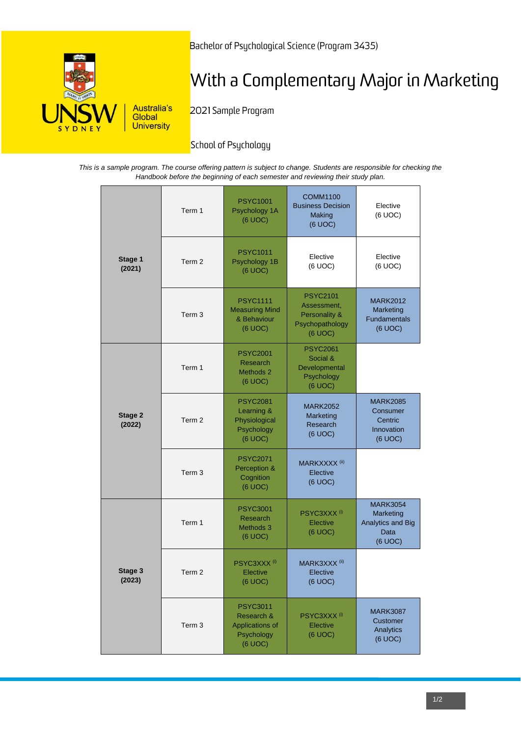

Bachelor of Psychological Science (Program 3435)

# With a Complementary Major in Marketing

2021 Sample Program

## School of Psychology

*This is a sample program. The course offering pattern is subject to change. Students are responsible for checking the Handbook before the beginning of each semester and reviewing their study plan.*

| Stage 1<br>(2021) | Term 1            | <b>PSYC1001</b><br>Psychology 1A<br>(6 UOC)                               | <b>COMM1100</b><br><b>Business Decision</b><br><b>Making</b><br>(6 UOC)       | Elective<br>(6 UOC)                                                  |
|-------------------|-------------------|---------------------------------------------------------------------------|-------------------------------------------------------------------------------|----------------------------------------------------------------------|
|                   | Term <sub>2</sub> | <b>PSYC1011</b><br>Psychology 1B<br>(6 UOC)                               | Elective<br>(6 UOC)                                                           | Elective<br>(6 UOC)                                                  |
|                   | Term <sub>3</sub> | <b>PSYC1111</b><br><b>Measuring Mind</b><br>& Behaviour<br>(6 UOC)        | <b>PSYC2101</b><br>Assessment,<br>Personality &<br>Psychopathology<br>(6 UOC) | <b>MARK2012</b><br>Marketing<br>Fundamentals<br>(6 UOC)              |
| Stage 2<br>(2022) | Term 1            | <b>PSYC2001</b><br>Research<br>Methods 2<br>(6 UOC)                       | <b>PSYC2061</b><br>Social &<br>Developmental<br>Psychology<br>(6 UOC)         |                                                                      |
|                   | Term <sub>2</sub> | <b>PSYC2081</b><br>Learning &<br>Physiological<br>Psychology<br>(6 UOC)   | <b>MARK2052</b><br>Marketing<br>Research<br>(6 UOC)                           | <b>MARK2085</b><br>Consumer<br>Centric<br>Innovation<br>(6 UOC)      |
|                   | Term <sub>3</sub> | <b>PSYC2071</b><br>Perception &<br>Cognition<br>(6 UOC)                   | MARKXXXX <sup>(ii)</sup><br>Elective<br>(6 UOC)                               |                                                                      |
| Stage 3<br>(2023) | Term 1            | <b>PSYC3001</b><br>Research<br>Methods 3<br>(6 UOC)                       | PSYC3XXX <sup>(i)</sup><br>Elective<br>(6 UOC)                                | <b>MARK3054</b><br>Marketing<br>Analytics and Big<br>Data<br>(6 UOC) |
|                   | Term <sub>2</sub> | PSYC3XXX <sup>(i)</sup><br>Elective<br>(6 UOC)                            | MARK3XXX <sup>(ii)</sup><br>Elective<br>(6 UOC)                               |                                                                      |
|                   | Term 3            | <b>PSYC3011</b><br>Research &<br>Applications of<br>Psychology<br>(6 UOC) | PSYC3XXX <sup>(i)</sup><br>Elective<br>(6 UOC)                                | <b>MARK3087</b><br>Customer<br>Analytics<br>(6 UOC)                  |